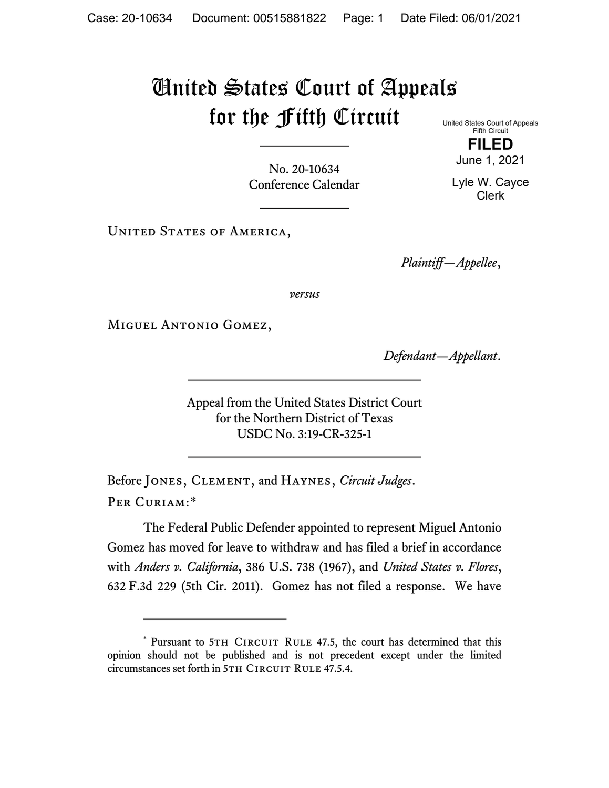## United States Court of Appeals for the Fifth Circuit

United States Court of Appeals Fifth Circuit **FILED**

No. 20-10634 Conference Calendar June 1, 2021

Lyle W. Cayce Clerk

UNITED STATES OF AMERICA,

*Plaintiff—Appellee*,

*versus*

Miguel Antonio Gomez,

*Defendant—Appellant*.

Appeal from the United States District Court for the Northern District of Texas USDC No. 3:19-CR-325-1

Before Jones, Clement, and Haynes, *Circuit Judges*. Per Curiam:[\\*](#page-0-0)

The Federal Public Defender appointed to represent Miguel Antonio Gomez has moved for leave to withdraw and has filed a brief in accordance with *Anders v. California*, 386 U.S. 738 (1967), and *United States v. Flores*, 632 F.3d 229 (5th Cir. 2011). Gomez has not filed a response. We have

<span id="page-0-0"></span><sup>\*</sup> Pursuant to 5TH CIRCUIT RULE 47.5, the court has determined that this opinion should not be published and is not precedent except under the limited circumstances set forth in 5TH CIRCUIT RULE 47.5.4.